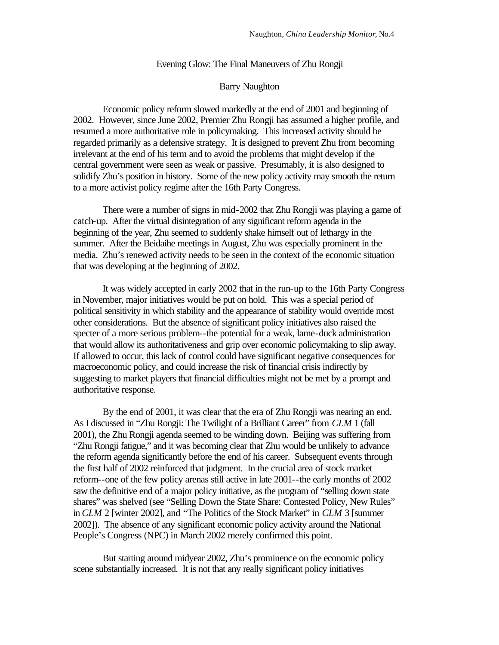### Evening Glow: The Final Maneuvers of Zhu Rongji

# Barry Naughton

Economic policy reform slowed markedly at the end of 2001 and beginning of 2002. However, since June 2002, Premier Zhu Rongji has assumed a higher profile, and resumed a more authoritative role in policymaking. This increased activity should be regarded primarily as a defensive strategy. It is designed to prevent Zhu from becoming irrelevant at the end of his term and to avoid the problems that might develop if the central government were seen as weak or passive. Presumably, it is also designed to solidify Zhu's position in history. Some of the new policy activity may smooth the return to a more activist policy regime after the 16th Party Congress.

There were a number of signs in mid-2002 that Zhu Rongji was playing a game of catch-up. After the virtual disintegration of any significant reform agenda in the beginning of the year, Zhu seemed to suddenly shake himself out of lethargy in the summer. After the Beidaihe meetings in August, Zhu was especially prominent in the media. Zhu's renewed activity needs to be seen in the context of the economic situation that was developing at the beginning of 2002.

It was widely accepted in early 2002 that in the run-up to the 16th Party Congress in November, major initiatives would be put on hold. This was a special period of political sensitivity in which stability and the appearance of stability would override most other considerations. But the absence of significant policy initiatives also raised the specter of a more serious problem--the potential for a weak, lame-duck administration that would allow its authoritativeness and grip over economic policymaking to slip away. If allowed to occur, this lack of control could have significant negative consequences for macroeconomic policy, and could increase the risk of financial crisis indirectly by suggesting to market players that financial difficulties might not be met by a prompt and authoritative response.

By the end of 2001, it was clear that the era of Zhu Rongji was nearing an end. As I discussed in "Zhu Rongji: The Twilight of a Brilliant Career" from *CLM* 1 (fall 2001), the Zhu Rongji agenda seemed to be winding down. Beijing was suffering from "Zhu Rongji fatigue," and it was becoming clear that Zhu would be unlikely to advance the reform agenda significantly before the end of his career. Subsequent events through the first half of 2002 reinforced that judgment. In the crucial area of stock market reform--one of the few policy arenas still active in late 2001--the early months of 2002 saw the definitive end of a major policy initiative, as the program of "selling down state shares" was shelved (see "Selling Down the State Share: Contested Policy, New Rules" in *CLM* 2 [winter 2002], and "The Politics of the Stock Market" in *CLM* 3 [summer 2002]). The absence of any significant economic policy activity around the National People's Congress (NPC) in March 2002 merely confirmed this point.

But starting around midyear 2002, Zhu's prominence on the economic policy scene substantially increased. It is not that any really significant policy initiatives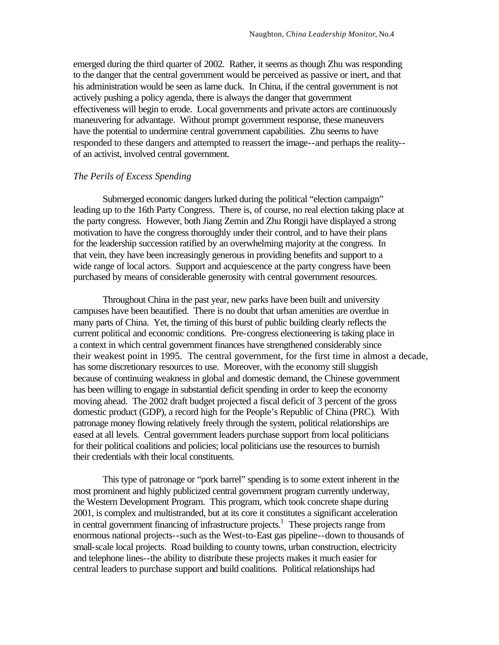emerged during the third quarter of 2002. Rather, it seems as though Zhu was responding to the danger that the central government would be perceived as passive or inert, and that his administration would be seen as lame duck. In China, if the central government is not actively pushing a policy agenda, there is always the danger that government effectiveness will begin to erode. Local governments and private actors are continuously maneuvering for advantage. Without prompt government response, these maneuvers have the potential to undermine central government capabilities. Zhu seems to have responded to these dangers and attempted to reassert the image--and perhaps the reality- of an activist, involved central government.

# *The Perils of Excess Spending*

Submerged economic dangers lurked during the political "election campaign" leading up to the 16th Party Congress. There is, of course, no real election taking place at the party congress. However, both Jiang Zemin and Zhu Rongji have displayed a strong motivation to have the congress thoroughly under their control, and to have their plans for the leadership succession ratified by an overwhelming majority at the congress. In that vein, they have been increasingly generous in providing benefits and support to a wide range of local actors. Support and acquiescence at the party congress have been purchased by means of considerable generosity with central government resources.

Throughout China in the past year, new parks have been built and university campuses have been beautified. There is no doubt that urban amenities are overdue in many parts of China. Yet, the timing of this burst of public building clearly reflects the current political and economic conditions. Pre-congress electioneering is taking place in a context in which central government finances have strengthened considerably since their weakest point in 1995. The central government, for the first time in almost a decade, has some discretionary resources to use. Moreover, with the economy still sluggish because of continuing weakness in global and domestic demand, the Chinese government has been willing to engage in substantial deficit spending in order to keep the economy moving ahead. The 2002 draft budget projected a fiscal deficit of 3 percent of the gross domestic product (GDP), a record high for the People's Republic of China (PRC). With patronage money flowing relatively freely through the system, political relationships are eased at all levels. Central government leaders purchase support from local politicians for their political coalitions and policies; local politicians use the resources to burnish their credentials with their local constituents.

This type of patronage or "pork barrel" spending is to some extent inherent in the most prominent and highly publicized central government program currently underway, the Western Development Program. This program, which took concrete shape during 2001, is complex and multistranded, but at its core it constitutes a significant acceleration in central government financing of infrastructure projects.<sup>1</sup> These projects range from enormous national projects--such as the West-to-East gas pipeline--down to thousands of small-scale local projects. Road building to county towns, urban construction, electricity and telephone lines--the ability to distribute these projects makes it much easier for central leaders to purchase support and build coalitions. Political relationships had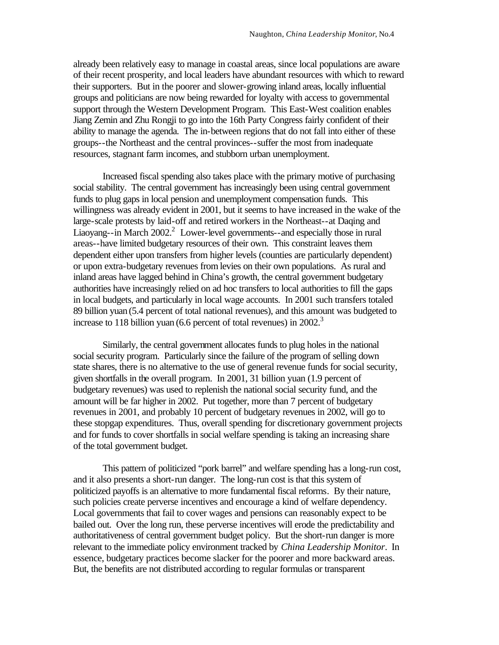already been relatively easy to manage in coastal areas, since local populations are aware of their recent prosperity, and local leaders have abundant resources with which to reward their supporters. But in the poorer and slower-growing inland areas, locally influential groups and politicians are now being rewarded for loyalty with access to governmental support through the Western Development Program. This East-West coalition enables Jiang Zemin and Zhu Rongji to go into the 16th Party Congress fairly confident of their ability to manage the agenda. The in-between regions that do not fall into either of these groups--the Northeast and the central provinces--suffer the most from inadequate resources, stagnant farm incomes, and stubborn urban unemployment.

Increased fiscal spending also takes place with the primary motive of purchasing social stability. The central government has increasingly been using central government funds to plug gaps in local pension and unemployment compensation funds. This willingness was already evident in 2001, but it seems to have increased in the wake of the large-scale protests by laid-off and retired workers in the Northeast--at Daqing and Liaoyang--in March  $2002<sup>2</sup>$  Lower-level governments--and especially those in rural areas--have limited budgetary resources of their own. This constraint leaves them dependent either upon transfers from higher levels (counties are particularly dependent) or upon extra-budgetary revenues from levies on their own populations. As rural and inland areas have lagged behind in China's growth, the central government budgetary authorities have increasingly relied on ad hoc transfers to local authorities to fill the gaps in local budgets, and particularly in local wage accounts. In 2001 such transfers totaled 89 billion yuan (5.4 percent of total national revenues), and this amount was budgeted to increase to 118 billion yuan (6.6 percent of total revenues) in  $2002$ <sup>3</sup>

Similarly, the central government allocates funds to plug holes in the national social security program. Particularly since the failure of the program of selling down state shares, there is no alternative to the use of general revenue funds for social security, given shortfalls in the overall program. In 2001, 31 billion yuan (1.9 percent of budgetary revenues) was used to replenish the national social security fund, and the amount will be far higher in 2002. Put together, more than 7 percent of budgetary revenues in 2001, and probably 10 percent of budgetary revenues in 2002, will go to these stopgap expenditures. Thus, overall spending for discretionary government projects and for funds to cover shortfalls in social welfare spending is taking an increasing share of the total government budget.

This pattern of politicized "pork barrel" and welfare spending has a long-run cost, and it also presents a short-run danger. The long-run cost is that this system of politicized payoffs is an alternative to more fundamental fiscal reforms. By their nature, such policies create perverse incentives and encourage a kind of welfare dependency. Local governments that fail to cover wages and pensions can reasonably expect to be bailed out. Over the long run, these perverse incentives will erode the predictability and authoritativeness of central government budget policy. But the short-run danger is more relevant to the immediate policy environment tracked by *China Leadership Monitor*. In essence, budgetary practices become slacker for the poorer and more backward areas. But, the benefits are not distributed according to regular formulas or transparent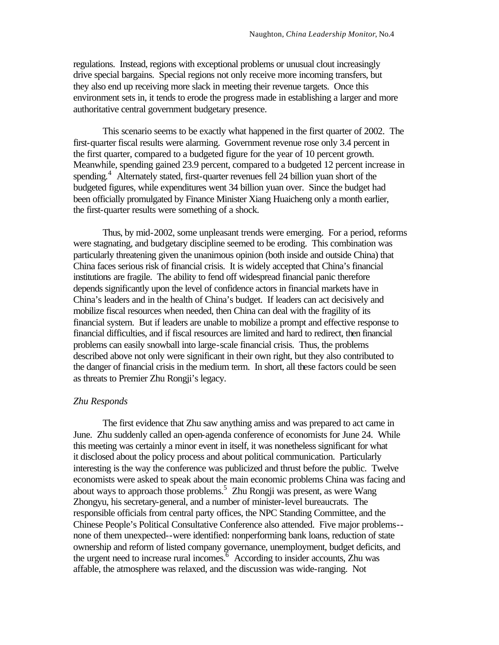regulations. Instead, regions with exceptional problems or unusual clout increasingly drive special bargains. Special regions not only receive more incoming transfers, but they also end up receiving more slack in meeting their revenue targets. Once this environment sets in, it tends to erode the progress made in establishing a larger and more authoritative central government budgetary presence.

This scenario seems to be exactly what happened in the first quarter of 2002. The first-quarter fiscal results were alarming. Government revenue rose only 3.4 percent in the first quarter, compared to a budgeted figure for the year of 10 percent growth. Meanwhile, spending gained 23.9 percent, compared to a budgeted 12 percent increase in spending.<sup>4</sup> Alternately stated, first-quarter revenues fell 24 billion yuan short of the budgeted figures, while expenditures went 34 billion yuan over. Since the budget had been officially promulgated by Finance Minister Xiang Huaicheng only a month earlier, the first-quarter results were something of a shock.

Thus, by mid-2002, some unpleasant trends were emerging. For a period, reforms were stagnating, and budgetary discipline seemed to be eroding. This combination was particularly threatening given the unanimous opinion (both inside and outside China) that China faces serious risk of financial crisis. It is widely accepted that China's financial institutions are fragile. The ability to fend off widespread financial panic therefore depends significantly upon the level of confidence actors in financial markets have in China's leaders and in the health of China's budget. If leaders can act decisively and mobilize fiscal resources when needed, then China can deal with the fragility of its financial system. But if leaders are unable to mobilize a prompt and effective response to financial difficulties, and if fiscal resources are limited and hard to redirect, then financial problems can easily snowball into large-scale financial crisis. Thus, the problems described above not only were significant in their own right, but they also contributed to the danger of financial crisis in the medium term. In short, all these factors could be seen as threats to Premier Zhu Rongji's legacy.

#### *Zhu Responds*

The first evidence that Zhu saw anything amiss and was prepared to act came in June. Zhu suddenly called an open-agenda conference of economists for June 24. While this meeting was certainly a minor event in itself, it was nonetheless significant for what it disclosed about the policy process and about political communication. Particularly interesting is the way the conference was publicized and thrust before the public. Twelve economists were asked to speak about the main economic problems China was facing and about ways to approach those problems.<sup>5</sup> Zhu Rongji was present, as were Wang Zhongyu, his secretary-general, and a number of minister-level bureaucrats. The responsible officials from central party offices, the NPC Standing Committee, and the Chinese People's Political Consultative Conference also attended. Five major problems- none of them unexpected--were identified: nonperforming bank loans, reduction of state ownership and reform of listed company governance, unemployment, budget deficits, and the urgent need to increase rural incomes.<sup>6</sup> According to insider accounts, Zhu was affable, the atmosphere was relaxed, and the discussion was wide-ranging. Not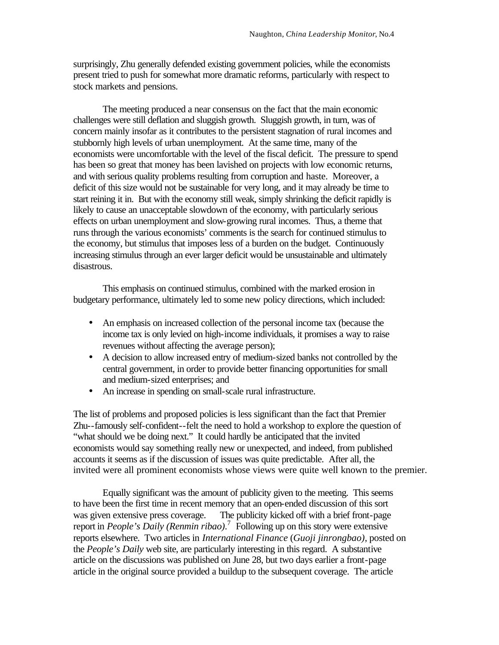surprisingly, Zhu generally defended existing government policies, while the economists present tried to push for somewhat more dramatic reforms, particularly with respect to stock markets and pensions.

The meeting produced a near consensus on the fact that the main economic challenges were still deflation and sluggish growth. Sluggish growth, in turn, was of concern mainly insofar as it contributes to the persistent stagnation of rural incomes and stubbornly high levels of urban unemployment. At the same time, many of the economists were uncomfortable with the level of the fiscal deficit. The pressure to spend has been so great that money has been lavished on projects with low economic returns, and with serious quality problems resulting from corruption and haste. Moreover, a deficit of this size would not be sustainable for very long, and it may already be time to start reining it in. But with the economy still weak, simply shrinking the deficit rapidly is likely to cause an unacceptable slowdown of the economy, with particularly serious effects on urban unemployment and slow-growing rural incomes. Thus, a theme that runs through the various economists' comments is the search for continued stimulus to the economy, but stimulus that imposes less of a burden on the budget. Continuously increasing stimulus through an ever larger deficit would be unsustainable and ultimately disastrous.

This emphasis on continued stimulus, combined with the marked erosion in budgetary performance, ultimately led to some new policy directions, which included:

- An emphasis on increased collection of the personal income tax (because the income tax is only levied on high-income individuals, it promises a way to raise revenues without affecting the average person);
- A decision to allow increased entry of medium-sized banks not controlled by the central government, in order to provide better financing opportunities for small and medium-sized enterprises; and
- An increase in spending on small-scale rural infrastructure.

The list of problems and proposed policies is less significant than the fact that Premier Zhu--famously self-confident--felt the need to hold a workshop to explore the question of "what should we be doing next." It could hardly be anticipated that the invited economists would say something really new or unexpected, and indeed, from published accounts it seems as if the discussion of issues was quite predictable. After all, the invited were all prominent economists whose views were quite well known to the premier.

Equally significant was the amount of publicity given to the meeting. This seems to have been the first time in recent memory that an open-ended discussion of this sort was given extensive press coverage. The publicity kicked off with a brief front-page report in *People's Daily (Renmin ribao)*. 7 Following up on this story were extensive reports elsewhere. Two articles in *International Finance* (*Guoji jinrongbao)*, posted on the *People's Daily* web site, are particularly interesting in this regard. A substantive article on the discussions was published on June 28, but two days earlier a front-page article in the original source provided a buildup to the subsequent coverage. The article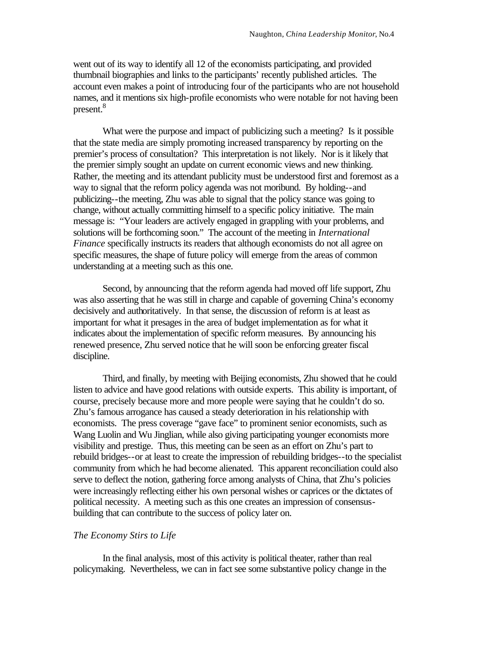went out of its way to identify all 12 of the economists participating, and provided thumbnail biographies and links to the participants' recently published articles. The account even makes a point of introducing four of the participants who are not household names, and it mentions six high-profile economists who were notable for not having been present.<sup>8</sup>

What were the purpose and impact of publicizing such a meeting? Is it possible that the state media are simply promoting increased transparency by reporting on the premier's process of consultation? This interpretation is not likely. Nor is it likely that the premier simply sought an update on current economic views and new thinking. Rather, the meeting and its attendant publicity must be understood first and foremost as a way to signal that the reform policy agenda was not moribund. By holding--and publicizing--the meeting, Zhu was able to signal that the policy stance was going to change, without actually committing himself to a specific policy initiative. The main message is: "Your leaders are actively engaged in grappling with your problems, and solutions will be forthcoming soon." The account of the meeting in *International Finance* specifically instructs its readers that although economists do not all agree on specific measures, the shape of future policy will emerge from the areas of common understanding at a meeting such as this one.

Second, by announcing that the reform agenda had moved off life support, Zhu was also asserting that he was still in charge and capable of governing China's economy decisively and authoritatively. In that sense, the discussion of reform is at least as important for what it presages in the area of budget implementation as for what it indicates about the implementation of specific reform measures. By announcing his renewed presence, Zhu served notice that he will soon be enforcing greater fiscal discipline.

Third, and finally, by meeting with Beijing economists, Zhu showed that he could listen to advice and have good relations with outside experts. This ability is important, of course, precisely because more and more people were saying that he couldn't do so. Zhu's famous arrogance has caused a steady deterioration in his relationship with economists. The press coverage "gave face" to prominent senior economists, such as Wang Luolin and Wu Jinglian, while also giving participating younger economists more visibility and prestige. Thus, this meeting can be seen as an effort on Zhu's part to rebuild bridges--or at least to create the impression of rebuilding bridges--to the specialist community from which he had become alienated. This apparent reconciliation could also serve to deflect the notion, gathering force among analysts of China, that Zhu's policies were increasingly reflecting either his own personal wishes or caprices or the dictates of political necessity. A meeting such as this one creates an impression of consensusbuilding that can contribute to the success of policy later on.

# *The Economy Stirs to Life*

In the final analysis, most of this activity is political theater, rather than real policymaking. Nevertheless, we can in fact see some substantive policy change in the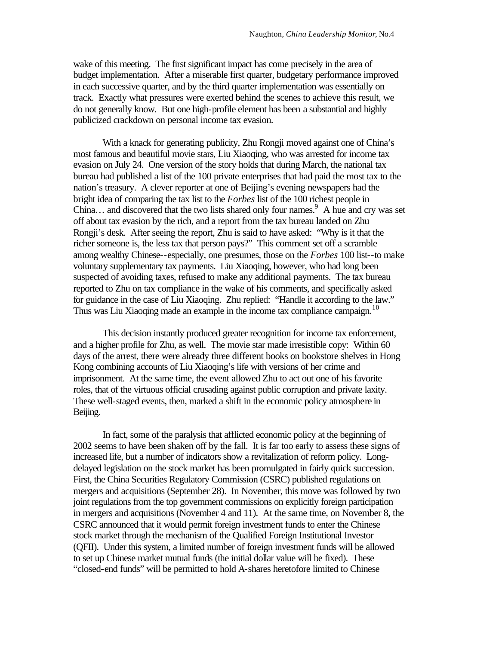wake of this meeting. The first significant impact has come precisely in the area of budget implementation. After a miserable first quarter, budgetary performance improved in each successive quarter, and by the third quarter implementation was essentially on track. Exactly what pressures were exerted behind the scenes to achieve this result, we do not generally know. But one high-profile element has been a substantial and highly publicized crackdown on personal income tax evasion.

With a knack for generating publicity, Zhu Rongji moved against one of China's most famous and beautiful movie stars, Liu Xiaoqing, who was arrested for income tax evasion on July 24. One version of the story holds that during March, the national tax bureau had published a list of the 100 private enterprises that had paid the most tax to the nation's treasury. A clever reporter at one of Beijing's evening newspapers had the bright idea of comparing the tax list to the *Forbes* list of the 100 richest people in China... and discovered that the two lists shared only four names.  $9$  A hue and cry was set off about tax evasion by the rich, and a report from the tax bureau landed on Zhu Rongji's desk. After seeing the report, Zhu is said to have asked: "Why is it that the richer someone is, the less tax that person pays?" This comment set off a scramble among wealthy Chinese--especially, one presumes, those on the *Forbes* 100 list--to make voluntary supplementary tax payments. Liu Xiaoqing, however, who had long been suspected of avoiding taxes, refused to make any additional payments. The tax bureau reported to Zhu on tax compliance in the wake of his comments, and specifically asked for guidance in the case of Liu Xiaoqing. Zhu replied: "Handle it according to the law." Thus was Liu Xiaoqing made an example in the income tax compliance campaign.<sup>10</sup>

This decision instantly produced greater recognition for income tax enforcement, and a higher profile for Zhu, as well. The movie star made irresistible copy: Within 60 days of the arrest, there were already three different books on bookstore shelves in Hong Kong combining accounts of Liu Xiaoqing's life with versions of her crime and imprisonment. At the same time, the event allowed Zhu to act out one of his favorite roles, that of the virtuous official crusading against public corruption and private laxity. These well-staged events, then, marked a shift in the economic policy atmosphere in Beijing.

In fact, some of the paralysis that afflicted economic policy at the beginning of 2002 seems to have been shaken off by the fall. It is far too early to assess these signs of increased life, but a number of indicators show a revitalization of reform policy. Longdelayed legislation on the stock market has been promulgated in fairly quick succession. First, the China Securities Regulatory Commission (CSRC) published regulations on mergers and acquisitions (September 28). In November, this move was followed by two joint regulations from the top government commissions on explicitly foreign participation in mergers and acquisitions (November 4 and 11). At the same time, on November 8, the CSRC announced that it would permit foreign investment funds to enter the Chinese stock market through the mechanism of the Qualified Foreign Institutional Investor (QFII). Under this system, a limited number of foreign investment funds will be allowed to set up Chinese market mutual funds (the initial dollar value will be fixed). These "closed-end funds" will be permitted to hold A-shares heretofore limited to Chinese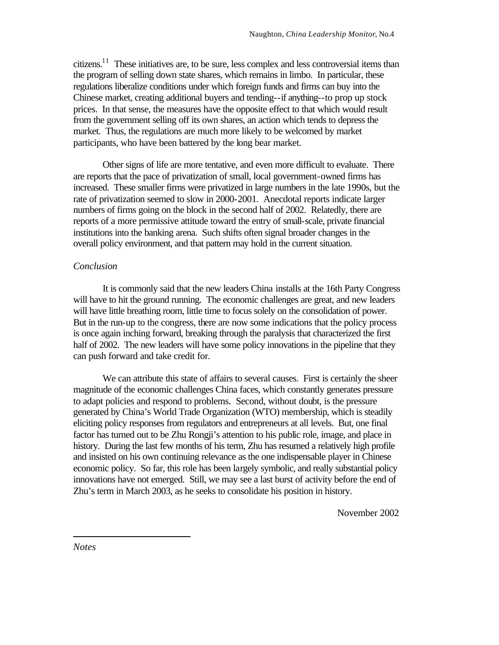$citizens.<sup>11</sup>$  These initiatives are, to be sure, less complex and less controversial items than the program of selling down state shares, which remains in limbo. In particular, these regulations liberalize conditions under which foreign funds and firms can buy into the Chinese market, creating additional buyers and tending--if anything--to prop up stock prices. In that sense, the measures have the opposite effect to that which would result from the government selling off its own shares, an action which tends to depress the market. Thus, the regulations are much more likely to be welcomed by market participants, who have been battered by the long bear market.

Other signs of life are more tentative, and even more difficult to evaluate. There are reports that the pace of privatization of small, local government-owned firms has increased. These smaller firms were privatized in large numbers in the late 1990s, but the rate of privatization seemed to slow in 2000-2001. Anecdotal reports indicate larger numbers of firms going on the block in the second half of 2002. Relatedly, there are reports of a more permissive attitude toward the entry of small-scale, private financial institutions into the banking arena. Such shifts often signal broader changes in the overall policy environment, and that pattern may hold in the current situation.

# *Conclusion*

It is commonly said that the new leaders China installs at the 16th Party Congress will have to hit the ground running. The economic challenges are great, and new leaders will have little breathing room, little time to focus solely on the consolidation of power. But in the run-up to the congress, there are now some indications that the policy process is once again inching forward, breaking through the paralysis that characterized the first half of 2002. The new leaders will have some policy innovations in the pipeline that they can push forward and take credit for.

We can attribute this state of affairs to several causes. First is certainly the sheer magnitude of the economic challenges China faces, which constantly generates pressure to adapt policies and respond to problems. Second, without doubt, is the pressure generated by China's World Trade Organization (WTO) membership, which is steadily eliciting policy responses from regulators and entrepreneurs at all levels. But, one final factor has turned out to be Zhu Rongji's attention to his public role, image, and place in history. During the last few months of his term, Zhu has resumed a relatively high profile and insisted on his own continuing relevance as the one indispensable player in Chinese economic policy. So far, this role has been largely symbolic, and really substantial policy innovations have not emerged. Still, we may see a last burst of activity before the end of Zhu's term in March 2003, as he seeks to consolidate his position in history.

November 2002

*Notes*

 $\overline{a}$